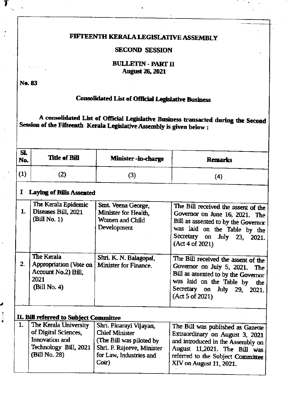## FIFTEENTH KERALA LEGISLATIVE ASSEMBLY

#### **SECOND SESSION**

#### **BULLETIN - PART II August 26, 2021**

No. 83

# **Consolidated List of Official Legislative Business**

A consolidated List of Official Legislative Business transacted during the Second Session of the Fifteenth Kerala Legislative Assembly is given below :

| SI.<br>No. | <b>Title of Bill</b> | <b>Minister -in-charge</b> | <b>Remarks</b> |
|------------|----------------------|----------------------------|----------------|
|            | ∠                    | 3                          | 4              |

#### **Laying of Bills Assented** I

| 1. | The Kerala Epidemic<br>Diseases Bill, 2021<br>(Bill No. 1)                                 | Smt. Veena George,<br>Minister for Health,<br>Women and Child<br>Development | The Bill received the assent of the<br>Governor on June 16, 2021. The<br>Bill as assented to by the Governor<br>was laid on the Table by the<br>Secretary on July 23, 2021.<br>(Act 4 of 2021)      |
|----|--------------------------------------------------------------------------------------------|------------------------------------------------------------------------------|-----------------------------------------------------------------------------------------------------------------------------------------------------------------------------------------------------|
| 2. | The Kerala<br><b>Appropriation</b> (Vote on<br>Account No.2) Bill.<br>2021<br>(Bill No. 4) | Shri. K. N. Balagopal,<br>Minister for Finance.                              | The Bill received the assent of the<br>Governor on July 5, 2021. The<br>Bill as assented to by the Governor<br>was laid on the Table by<br>the<br>Secretary on July 29,<br>2021.<br>(Act 5 of 2021) |

# II. Bill referred to Subject Committee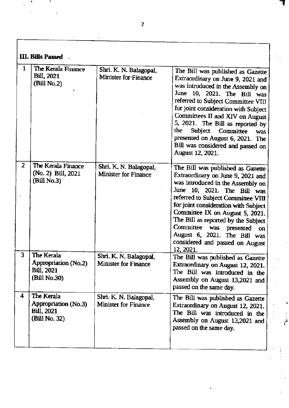| <b>III. Bills Passed</b> |                                                                           |                                                       |                                                                                                                                                                                                                                                                                                                                                                                                                                           |  |  |
|--------------------------|---------------------------------------------------------------------------|-------------------------------------------------------|-------------------------------------------------------------------------------------------------------------------------------------------------------------------------------------------------------------------------------------------------------------------------------------------------------------------------------------------------------------------------------------------------------------------------------------------|--|--|
| 1                        | The Kerala Finance<br><b>Bill</b> , 2021<br>(Bill No.2)                   | Shri. K. N. Balagopal,<br>Minister for Finance        | The Bill was published as Gazette<br>Extraordinary on June 9, 2021 and<br>was introduced in the Assembly on<br>June 10, 2021. The Bill was<br>referred to Subject Committee VIII<br>for joint consideration with Subject<br>Committees II and XIV on August<br>5, 2021. The Bill as reported by<br>the<br>Subject<br>Committee<br><b>was</b><br>presented on August 6, 2021. The<br>Bill was considered and passed on<br>August 12, 2021. |  |  |
| $\overline{2}$           | The Kerala Finance<br>(No. 2) Bill, 2021<br>(Bill No.3)                   | Shri. K. N. Balagopal,<br>Minister for Finance        | The Bill was published as Gazette<br>Extraordinary on June 9, 2021 and<br>was introduced in the Assembly on<br>June 10, 2021. The Bill was<br>referred to Subject Committee VIII<br>for joint consideration with Subject<br>Committee IX on August 5, 2021.<br>The Bill as reported by the Subject<br>Committee was presented<br>on.<br>August 6, 2021. The Bill was<br>considered and passed on August<br>12, 2021.                      |  |  |
| 3                        | The Kerala<br>Appropriation (No.2)<br><b>Bill</b> , 2021<br>(Bill No.30)  | Shri. K. N. Balagopal,<br><b>Minister for Finance</b> | The Bill was published as Gazette<br>Extraordinary on August 12, 2021.<br>The Bill was introduced in the<br>Assembly on August 13,2021 and<br>passed on the same day.                                                                                                                                                                                                                                                                     |  |  |
| 4                        | The Kerala<br>Appropriation (No.3)<br><b>Bill</b> , 2021<br>(Bill No. 32) | Shri. K. N. Balagopal.<br><b>Minister for Finance</b> | The Bill was published as Gazette<br>Extraordinary on August 12, 2021.<br>The Bill was introduced in the<br>Assembly on August 13,2021 and<br>passed on the same day.                                                                                                                                                                                                                                                                     |  |  |

 $\bar{z}$ 

-r

i'